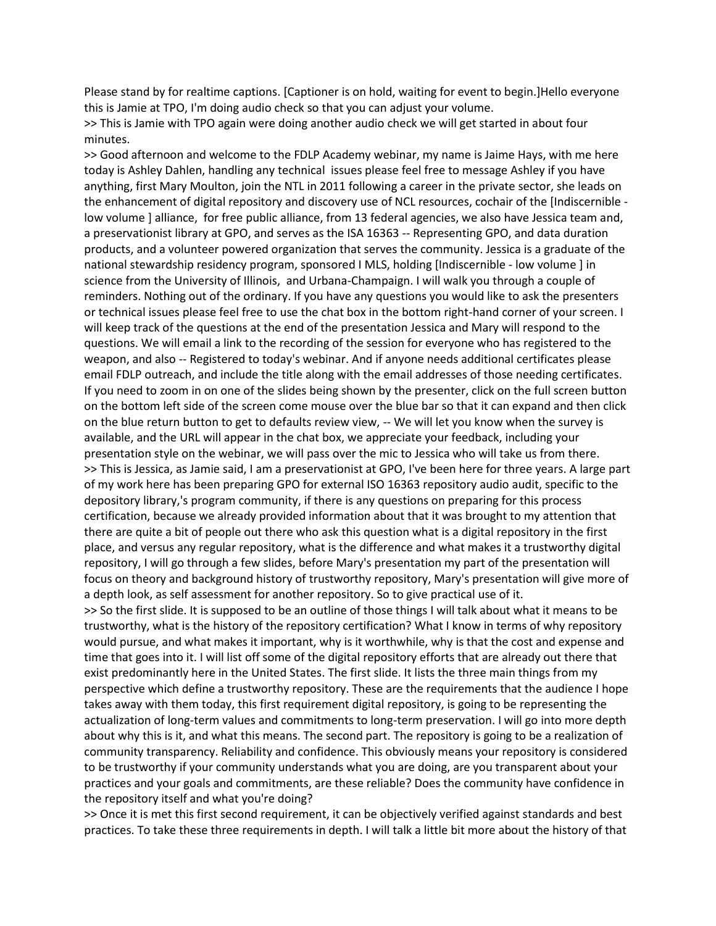Please stand by for realtime captions. [Captioner is on hold, waiting for event to begin.]Hello everyone this is Jamie at TPO, I'm doing audio check so that you can adjust your volume.

>> This is Jamie with TPO again were doing another audio check we will get started in about four minutes.

>> Good afternoon and welcome to the FDLP Academy webinar, my name is Jaime Hays, with me here today is Ashley Dahlen, handling any technical issues please feel free to message Ashley if you have anything, first Mary Moulton, join the NTL in 2011 following a career in the private sector, she leads on the enhancement of digital repository and discovery use of NCL resources, cochair of the [Indiscernible low volume ] alliance, for free public alliance, from 13 federal agencies, we also have Jessica team and, a preservationist library at GPO, and serves as the ISA 16363 -- Representing GPO, and data duration products, and a volunteer powered organization that serves the community. Jessica is a graduate of the national stewardship residency program, sponsored I MLS, holding [Indiscernible - low volume ] in science from the University of Illinois, and Urbana-Champaign. I will walk you through a couple of reminders. Nothing out of the ordinary. If you have any questions you would like to ask the presenters or technical issues please feel free to use the chat box in the bottom right-hand corner of your screen. I will keep track of the questions at the end of the presentation Jessica and Mary will respond to the questions. We will email a link to the recording of the session for everyone who has registered to the weapon, and also -- Registered to today's webinar. And if anyone needs additional certificates please email FDLP outreach, and include the title along with the email addresses of those needing certificates. If you need to zoom in on one of the slides being shown by the presenter, click on the full screen button on the bottom left side of the screen come mouse over the blue bar so that it can expand and then click on the blue return button to get to defaults review view, -- We will let you know when the survey is available, and the URL will appear in the chat box, we appreciate your feedback, including your presentation style on the webinar, we will pass over the mic to Jessica who will take us from there. >> This is Jessica, as Jamie said, I am a preservationist at GPO, I've been here for three years. A large part of my work here has been preparing GPO for external ISO 16363 repository audio audit, specific to the depository library,'s program community, if there is any questions on preparing for this process certification, because we already provided information about that it was brought to my attention that there are quite a bit of people out there who ask this question what is a digital repository in the first place, and versus any regular repository, what is the difference and what makes it a trustworthy digital repository, I will go through a few slides, before Mary's presentation my part of the presentation will focus on theory and background history of trustworthy repository, Mary's presentation will give more of a depth look, as self assessment for another repository. So to give practical use of it. >> So the first slide. It is supposed to be an outline of those things I will talk about what it means to be trustworthy, what is the history of the repository certification? What I know in terms of why repository would pursue, and what makes it important, why is it worthwhile, why is that the cost and expense and time that goes into it. I will list off some of the digital repository efforts that are already out there that exist predominantly here in the United States. The first slide. It lists the three main things from my perspective which define a trustworthy repository. These are the requirements that the audience I hope takes away with them today, this first requirement digital repository, is going to be representing the actualization of long-term values and commitments to long-term preservation. I will go into more depth about why this is it, and what this means. The second part. The repository is going to be a realization of community transparency. Reliability and confidence. This obviously means your repository is considered to be trustworthy if your community understands what you are doing, are you transparent about your practices and your goals and commitments, are these reliable? Does the community have confidence in the repository itself and what you're doing?

>> Once it is met this first second requirement, it can be objectively verified against standards and best practices. To take these three requirements in depth. I will talk a little bit more about the history of that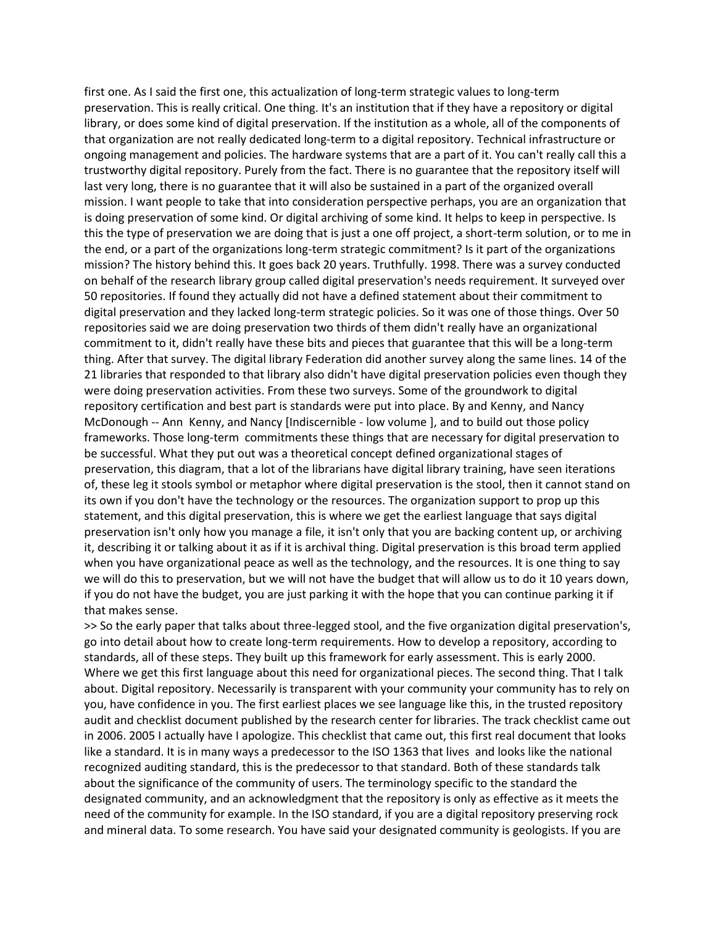first one. As I said the first one, this actualization of long-term strategic values to long-term preservation. This is really critical. One thing. It's an institution that if they have a repository or digital library, or does some kind of digital preservation. If the institution as a whole, all of the components of that organization are not really dedicated long-term to a digital repository. Technical infrastructure or ongoing management and policies. The hardware systems that are a part of it. You can't really call this a trustworthy digital repository. Purely from the fact. There is no guarantee that the repository itself will last very long, there is no guarantee that it will also be sustained in a part of the organized overall mission. I want people to take that into consideration perspective perhaps, you are an organization that is doing preservation of some kind. Or digital archiving of some kind. It helps to keep in perspective. Is this the type of preservation we are doing that is just a one off project, a short-term solution, or to me in the end, or a part of the organizations long-term strategic commitment? Is it part of the organizations mission? The history behind this. It goes back 20 years. Truthfully. 1998. There was a survey conducted on behalf of the research library group called digital preservation's needs requirement. It surveyed over 50 repositories. If found they actually did not have a defined statement about their commitment to digital preservation and they lacked long-term strategic policies. So it was one of those things. Over 50 repositories said we are doing preservation two thirds of them didn't really have an organizational commitment to it, didn't really have these bits and pieces that guarantee that this will be a long-term thing. After that survey. The digital library Federation did another survey along the same lines. 14 of the 21 libraries that responded to that library also didn't have digital preservation policies even though they were doing preservation activities. From these two surveys. Some of the groundwork to digital repository certification and best part is standards were put into place. By and Kenny, and Nancy McDonough -- Ann Kenny, and Nancy [Indiscernible - low volume ], and to build out those policy frameworks. Those long-term commitments these things that are necessary for digital preservation to be successful. What they put out was a theoretical concept defined organizational stages of preservation, this diagram, that a lot of the librarians have digital library training, have seen iterations of, these leg it stools symbol or metaphor where digital preservation is the stool, then it cannot stand on its own if you don't have the technology or the resources. The organization support to prop up this statement, and this digital preservation, this is where we get the earliest language that says digital preservation isn't only how you manage a file, it isn't only that you are backing content up, or archiving it, describing it or talking about it as if it is archival thing. Digital preservation is this broad term applied when you have organizational peace as well as the technology, and the resources. It is one thing to say we will do this to preservation, but we will not have the budget that will allow us to do it 10 years down, if you do not have the budget, you are just parking it with the hope that you can continue parking it if that makes sense.

>> So the early paper that talks about three-legged stool, and the five organization digital preservation's, go into detail about how to create long-term requirements. How to develop a repository, according to standards, all of these steps. They built up this framework for early assessment. This is early 2000. Where we get this first language about this need for organizational pieces. The second thing. That I talk about. Digital repository. Necessarily is transparent with your community your community has to rely on you, have confidence in you. The first earliest places we see language like this, in the trusted repository audit and checklist document published by the research center for libraries. The track checklist came out in 2006. 2005 I actually have I apologize. This checklist that came out, this first real document that looks like a standard. It is in many ways a predecessor to the ISO 1363 that lives and looks like the national recognized auditing standard, this is the predecessor to that standard. Both of these standards talk about the significance of the community of users. The terminology specific to the standard the designated community, and an acknowledgment that the repository is only as effective as it meets the need of the community for example. In the ISO standard, if you are a digital repository preserving rock and mineral data. To some research. You have said your designated community is geologists. If you are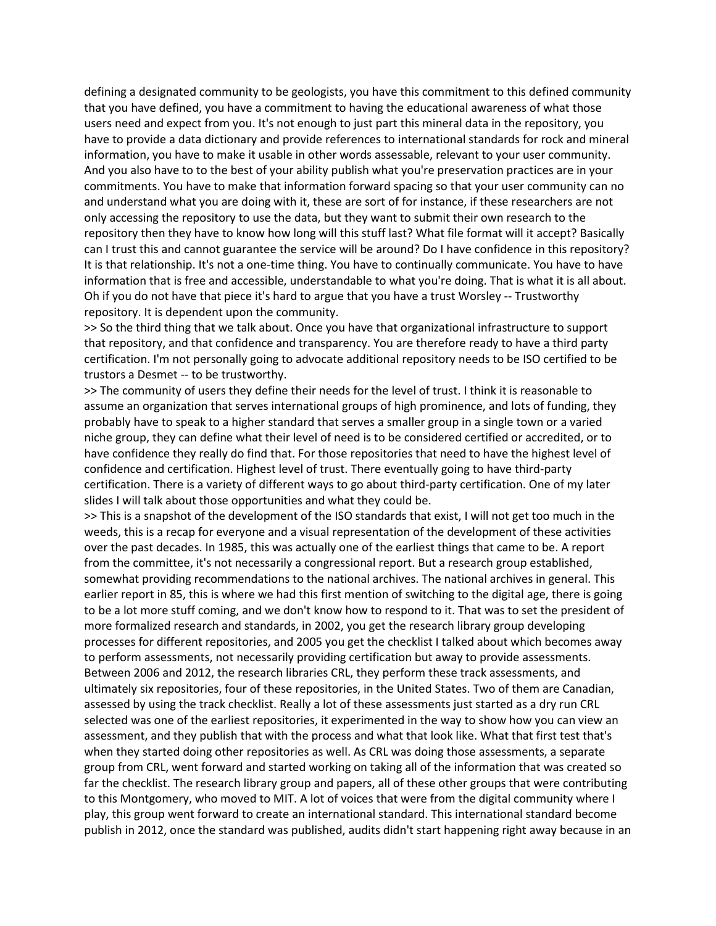defining a designated community to be geologists, you have this commitment to this defined community that you have defined, you have a commitment to having the educational awareness of what those users need and expect from you. It's not enough to just part this mineral data in the repository, you have to provide a data dictionary and provide references to international standards for rock and mineral information, you have to make it usable in other words assessable, relevant to your user community. And you also have to to the best of your ability publish what you're preservation practices are in your commitments. You have to make that information forward spacing so that your user community can no and understand what you are doing with it, these are sort of for instance, if these researchers are not only accessing the repository to use the data, but they want to submit their own research to the repository then they have to know how long will this stuff last? What file format will it accept? Basically can I trust this and cannot guarantee the service will be around? Do I have confidence in this repository? It is that relationship. It's not a one-time thing. You have to continually communicate. You have to have information that is free and accessible, understandable to what you're doing. That is what it is all about. Oh if you do not have that piece it's hard to argue that you have a trust Worsley -- Trustworthy repository. It is dependent upon the community.

>> So the third thing that we talk about. Once you have that organizational infrastructure to support that repository, and that confidence and transparency. You are therefore ready to have a third party certification. I'm not personally going to advocate additional repository needs to be ISO certified to be trustors a Desmet -- to be trustworthy.

>> The community of users they define their needs for the level of trust. I think it is reasonable to assume an organization that serves international groups of high prominence, and lots of funding, they probably have to speak to a higher standard that serves a smaller group in a single town or a varied niche group, they can define what their level of need is to be considered certified or accredited, or to have confidence they really do find that. For those repositories that need to have the highest level of confidence and certification. Highest level of trust. There eventually going to have third-party certification. There is a variety of different ways to go about third-party certification. One of my later slides I will talk about those opportunities and what they could be.

>> This is a snapshot of the development of the ISO standards that exist, I will not get too much in the weeds, this is a recap for everyone and a visual representation of the development of these activities over the past decades. In 1985, this was actually one of the earliest things that came to be. A report from the committee, it's not necessarily a congressional report. But a research group established, somewhat providing recommendations to the national archives. The national archives in general. This earlier report in 85, this is where we had this first mention of switching to the digital age, there is going to be a lot more stuff coming, and we don't know how to respond to it. That was to set the president of more formalized research and standards, in 2002, you get the research library group developing processes for different repositories, and 2005 you get the checklist I talked about which becomes away to perform assessments, not necessarily providing certification but away to provide assessments. Between 2006 and 2012, the research libraries CRL, they perform these track assessments, and ultimately six repositories, four of these repositories, in the United States. Two of them are Canadian, assessed by using the track checklist. Really a lot of these assessments just started as a dry run CRL selected was one of the earliest repositories, it experimented in the way to show how you can view an assessment, and they publish that with the process and what that look like. What that first test that's when they started doing other repositories as well. As CRL was doing those assessments, a separate group from CRL, went forward and started working on taking all of the information that was created so far the checklist. The research library group and papers, all of these other groups that were contributing to this Montgomery, who moved to MIT. A lot of voices that were from the digital community where I play, this group went forward to create an international standard. This international standard become publish in 2012, once the standard was published, audits didn't start happening right away because in an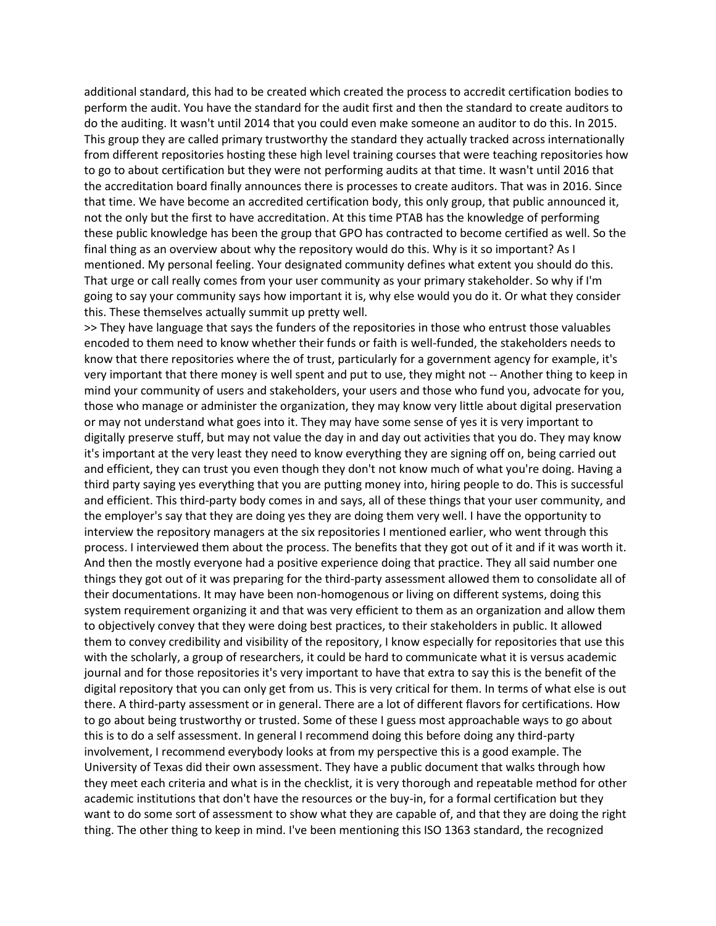additional standard, this had to be created which created the process to accredit certification bodies to perform the audit. You have the standard for the audit first and then the standard to create auditors to do the auditing. It wasn't until 2014 that you could even make someone an auditor to do this. In 2015. This group they are called primary trustworthy the standard they actually tracked across internationally from different repositories hosting these high level training courses that were teaching repositories how to go to about certification but they were not performing audits at that time. It wasn't until 2016 that the accreditation board finally announces there is processes to create auditors. That was in 2016. Since that time. We have become an accredited certification body, this only group, that public announced it, not the only but the first to have accreditation. At this time PTAB has the knowledge of performing these public knowledge has been the group that GPO has contracted to become certified as well. So the final thing as an overview about why the repository would do this. Why is it so important? As I mentioned. My personal feeling. Your designated community defines what extent you should do this. That urge or call really comes from your user community as your primary stakeholder. So why if I'm going to say your community says how important it is, why else would you do it. Or what they consider this. These themselves actually summit up pretty well.

>> They have language that says the funders of the repositories in those who entrust those valuables encoded to them need to know whether their funds or faith is well-funded, the stakeholders needs to know that there repositories where the of trust, particularly for a government agency for example, it's very important that there money is well spent and put to use, they might not -- Another thing to keep in mind your community of users and stakeholders, your users and those who fund you, advocate for you, those who manage or administer the organization, they may know very little about digital preservation or may not understand what goes into it. They may have some sense of yes it is very important to digitally preserve stuff, but may not value the day in and day out activities that you do. They may know it's important at the very least they need to know everything they are signing off on, being carried out and efficient, they can trust you even though they don't not know much of what you're doing. Having a third party saying yes everything that you are putting money into, hiring people to do. This is successful and efficient. This third-party body comes in and says, all of these things that your user community, and the employer's say that they are doing yes they are doing them very well. I have the opportunity to interview the repository managers at the six repositories I mentioned earlier, who went through this process. I interviewed them about the process. The benefits that they got out of it and if it was worth it. And then the mostly everyone had a positive experience doing that practice. They all said number one things they got out of it was preparing for the third-party assessment allowed them to consolidate all of their documentations. It may have been non-homogenous or living on different systems, doing this system requirement organizing it and that was very efficient to them as an organization and allow them to objectively convey that they were doing best practices, to their stakeholders in public. It allowed them to convey credibility and visibility of the repository, I know especially for repositories that use this with the scholarly, a group of researchers, it could be hard to communicate what it is versus academic journal and for those repositories it's very important to have that extra to say this is the benefit of the digital repository that you can only get from us. This is very critical for them. In terms of what else is out there. A third-party assessment or in general. There are a lot of different flavors for certifications. How to go about being trustworthy or trusted. Some of these I guess most approachable ways to go about this is to do a self assessment. In general I recommend doing this before doing any third-party involvement, I recommend everybody looks at from my perspective this is a good example. The University of Texas did their own assessment. They have a public document that walks through how they meet each criteria and what is in the checklist, it is very thorough and repeatable method for other academic institutions that don't have the resources or the buy-in, for a formal certification but they want to do some sort of assessment to show what they are capable of, and that they are doing the right thing. The other thing to keep in mind. I've been mentioning this ISO 1363 standard, the recognized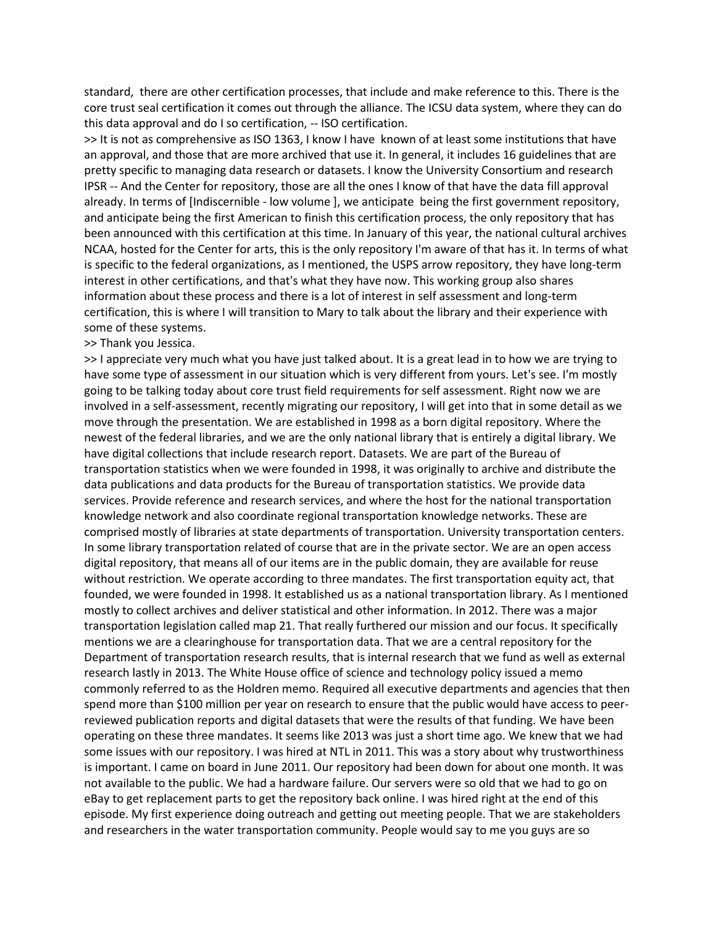standard, there are other certification processes, that include and make reference to this. There is the core trust seal certification it comes out through the alliance. The ICSU data system, where they can do this data approval and do I so certification, -- ISO certification.

>> It is not as comprehensive as ISO 1363, I know I have known of at least some institutions that have an approval, and those that are more archived that use it. In general, it includes 16 guidelines that are pretty specific to managing data research or datasets. I know the University Consortium and research IPSR -- And the Center for repository, those are all the ones I know of that have the data fill approval already. In terms of [Indiscernible - low volume ], we anticipate being the first government repository, and anticipate being the first American to finish this certification process, the only repository that has been announced with this certification at this time. In January of this year, the national cultural archives NCAA, hosted for the Center for arts, this is the only repository I'm aware of that has it. In terms of what is specific to the federal organizations, as I mentioned, the USPS arrow repository, they have long-term interest in other certifications, and that's what they have now. This working group also shares information about these process and there is a lot of interest in self assessment and long-term certification, this is where I will transition to Mary to talk about the library and their experience with some of these systems.

## >> Thank you Jessica.

>> I appreciate very much what you have just talked about. It is a great lead in to how we are trying to have some type of assessment in our situation which is very different from yours. Let's see. I'm mostly going to be talking today about core trust field requirements for self assessment. Right now we are involved in a self-assessment, recently migrating our repository, I will get into that in some detail as we move through the presentation. We are established in 1998 as a born digital repository. Where the newest of the federal libraries, and we are the only national library that is entirely a digital library. We have digital collections that include research report. Datasets. We are part of the Bureau of transportation statistics when we were founded in 1998, it was originally to archive and distribute the data publications and data products for the Bureau of transportation statistics. We provide data services. Provide reference and research services, and where the host for the national transportation knowledge network and also coordinate regional transportation knowledge networks. These are comprised mostly of libraries at state departments of transportation. University transportation centers. In some library transportation related of course that are in the private sector. We are an open access digital repository, that means all of our items are in the public domain, they are available for reuse without restriction. We operate according to three mandates. The first transportation equity act, that founded, we were founded in 1998. It established us as a national transportation library. As I mentioned mostly to collect archives and deliver statistical and other information. In 2012. There was a major transportation legislation called map 21. That really furthered our mission and our focus. It specifically mentions we are a clearinghouse for transportation data. That we are a central repository for the Department of transportation research results, that is internal research that we fund as well as external research lastly in 2013. The White House office of science and technology policy issued a memo commonly referred to as the Holdren memo. Required all executive departments and agencies that then spend more than \$100 million per year on research to ensure that the public would have access to peerreviewed publication reports and digital datasets that were the results of that funding. We have been operating on these three mandates. It seems like 2013 was just a short time ago. We knew that we had some issues with our repository. I was hired at NTL in 2011. This was a story about why trustworthiness is important. I came on board in June 2011. Our repository had been down for about one month. It was not available to the public. We had a hardware failure. Our servers were so old that we had to go on eBay to get replacement parts to get the repository back online. I was hired right at the end of this episode. My first experience doing outreach and getting out meeting people. That we are stakeholders and researchers in the water transportation community. People would say to me you guys are so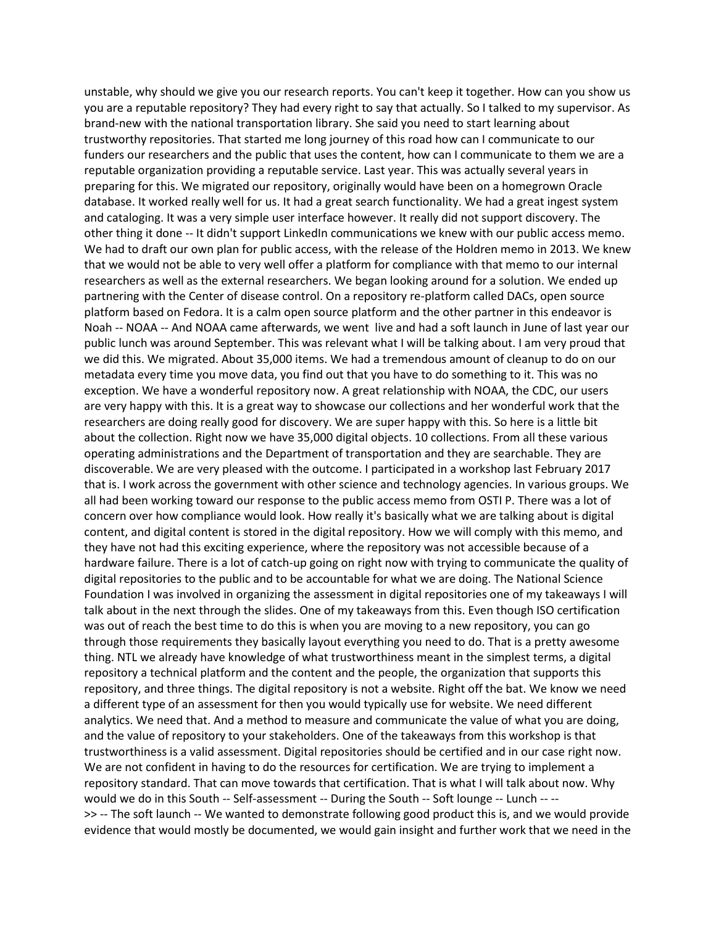unstable, why should we give you our research reports. You can't keep it together. How can you show us you are a reputable repository? They had every right to say that actually. So I talked to my supervisor. As brand-new with the national transportation library. She said you need to start learning about trustworthy repositories. That started me long journey of this road how can I communicate to our funders our researchers and the public that uses the content, how can I communicate to them we are a reputable organization providing a reputable service. Last year. This was actually several years in preparing for this. We migrated our repository, originally would have been on a homegrown Oracle database. It worked really well for us. It had a great search functionality. We had a great ingest system and cataloging. It was a very simple user interface however. It really did not support discovery. The other thing it done -- It didn't support LinkedIn communications we knew with our public access memo. We had to draft our own plan for public access, with the release of the Holdren memo in 2013. We knew that we would not be able to very well offer a platform for compliance with that memo to our internal researchers as well as the external researchers. We began looking around for a solution. We ended up partnering with the Center of disease control. On a repository re-platform called DACs, open source platform based on Fedora. It is a calm open source platform and the other partner in this endeavor is Noah -- NOAA -- And NOAA came afterwards, we went live and had a soft launch in June of last year our public lunch was around September. This was relevant what I will be talking about. I am very proud that we did this. We migrated. About 35,000 items. We had a tremendous amount of cleanup to do on our metadata every time you move data, you find out that you have to do something to it. This was no exception. We have a wonderful repository now. A great relationship with NOAA, the CDC, our users are very happy with this. It is a great way to showcase our collections and her wonderful work that the researchers are doing really good for discovery. We are super happy with this. So here is a little bit about the collection. Right now we have 35,000 digital objects. 10 collections. From all these various operating administrations and the Department of transportation and they are searchable. They are discoverable. We are very pleased with the outcome. I participated in a workshop last February 2017 that is. I work across the government with other science and technology agencies. In various groups. We all had been working toward our response to the public access memo from OSTI P. There was a lot of concern over how compliance would look. How really it's basically what we are talking about is digital content, and digital content is stored in the digital repository. How we will comply with this memo, and they have not had this exciting experience, where the repository was not accessible because of a hardware failure. There is a lot of catch-up going on right now with trying to communicate the quality of digital repositories to the public and to be accountable for what we are doing. The National Science Foundation I was involved in organizing the assessment in digital repositories one of my takeaways I will talk about in the next through the slides. One of my takeaways from this. Even though ISO certification was out of reach the best time to do this is when you are moving to a new repository, you can go through those requirements they basically layout everything you need to do. That is a pretty awesome thing. NTL we already have knowledge of what trustworthiness meant in the simplest terms, a digital repository a technical platform and the content and the people, the organization that supports this repository, and three things. The digital repository is not a website. Right off the bat. We know we need a different type of an assessment for then you would typically use for website. We need different analytics. We need that. And a method to measure and communicate the value of what you are doing, and the value of repository to your stakeholders. One of the takeaways from this workshop is that trustworthiness is a valid assessment. Digital repositories should be certified and in our case right now. We are not confident in having to do the resources for certification. We are trying to implement a repository standard. That can move towards that certification. That is what I will talk about now. Why would we do in this South -- Self-assessment -- During the South -- Soft lounge -- Lunch -- -- >> -- The soft launch -- We wanted to demonstrate following good product this is, and we would provide evidence that would mostly be documented, we would gain insight and further work that we need in the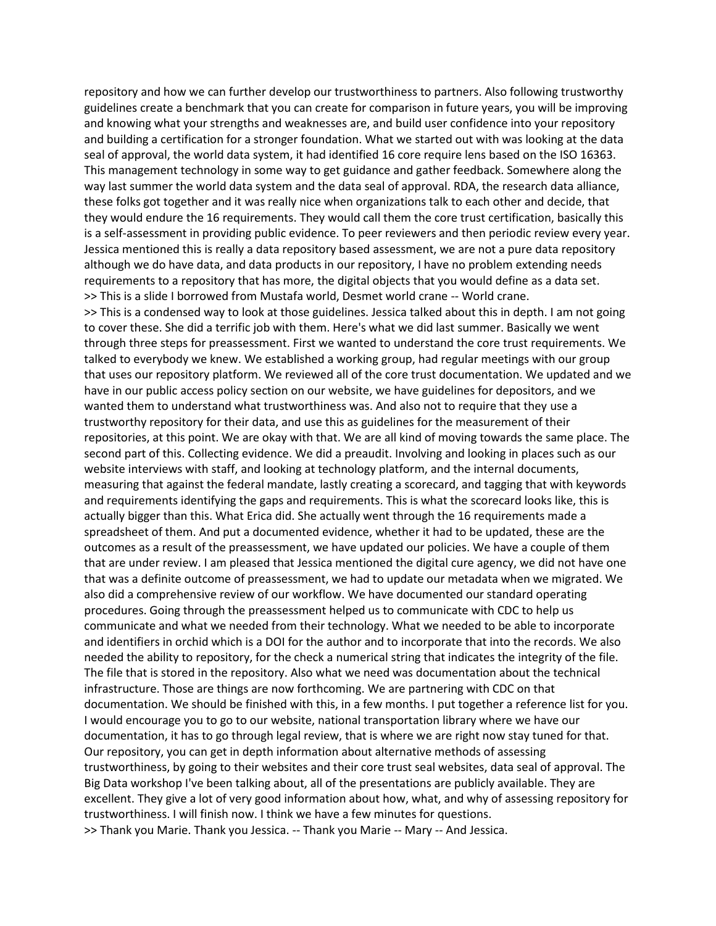repository and how we can further develop our trustworthiness to partners. Also following trustworthy guidelines create a benchmark that you can create for comparison in future years, you will be improving and knowing what your strengths and weaknesses are, and build user confidence into your repository and building a certification for a stronger foundation. What we started out with was looking at the data seal of approval, the world data system, it had identified 16 core require lens based on the ISO 16363. This management technology in some way to get guidance and gather feedback. Somewhere along the way last summer the world data system and the data seal of approval. RDA, the research data alliance, these folks got together and it was really nice when organizations talk to each other and decide, that they would endure the 16 requirements. They would call them the core trust certification, basically this is a self-assessment in providing public evidence. To peer reviewers and then periodic review every year. Jessica mentioned this is really a data repository based assessment, we are not a pure data repository although we do have data, and data products in our repository, I have no problem extending needs requirements to a repository that has more, the digital objects that you would define as a data set. >> This is a slide I borrowed from Mustafa world, Desmet world crane -- World crane. >> This is a condensed way to look at those guidelines. Jessica talked about this in depth. I am not going to cover these. She did a terrific job with them. Here's what we did last summer. Basically we went through three steps for preassessment. First we wanted to understand the core trust requirements. We talked to everybody we knew. We established a working group, had regular meetings with our group that uses our repository platform. We reviewed all of the core trust documentation. We updated and we have in our public access policy section on our website, we have guidelines for depositors, and we wanted them to understand what trustworthiness was. And also not to require that they use a trustworthy repository for their data, and use this as guidelines for the measurement of their repositories, at this point. We are okay with that. We are all kind of moving towards the same place. The second part of this. Collecting evidence. We did a preaudit. Involving and looking in places such as our website interviews with staff, and looking at technology platform, and the internal documents, measuring that against the federal mandate, lastly creating a scorecard, and tagging that with keywords and requirements identifying the gaps and requirements. This is what the scorecard looks like, this is actually bigger than this. What Erica did. She actually went through the 16 requirements made a spreadsheet of them. And put a documented evidence, whether it had to be updated, these are the outcomes as a result of the preassessment, we have updated our policies. We have a couple of them that are under review. I am pleased that Jessica mentioned the digital cure agency, we did not have one that was a definite outcome of preassessment, we had to update our metadata when we migrated. We also did a comprehensive review of our workflow. We have documented our standard operating procedures. Going through the preassessment helped us to communicate with CDC to help us communicate and what we needed from their technology. What we needed to be able to incorporate and identifiers in orchid which is a DOI for the author and to incorporate that into the records. We also needed the ability to repository, for the check a numerical string that indicates the integrity of the file. The file that is stored in the repository. Also what we need was documentation about the technical infrastructure. Those are things are now forthcoming. We are partnering with CDC on that documentation. We should be finished with this, in a few months. I put together a reference list for you. I would encourage you to go to our website, national transportation library where we have our documentation, it has to go through legal review, that is where we are right now stay tuned for that. Our repository, you can get in depth information about alternative methods of assessing trustworthiness, by going to their websites and their core trust seal websites, data seal of approval. The Big Data workshop I've been talking about, all of the presentations are publicly available. They are excellent. They give a lot of very good information about how, what, and why of assessing repository for trustworthiness. I will finish now. I think we have a few minutes for questions. >> Thank you Marie. Thank you Jessica. -- Thank you Marie -- Mary -- And Jessica.